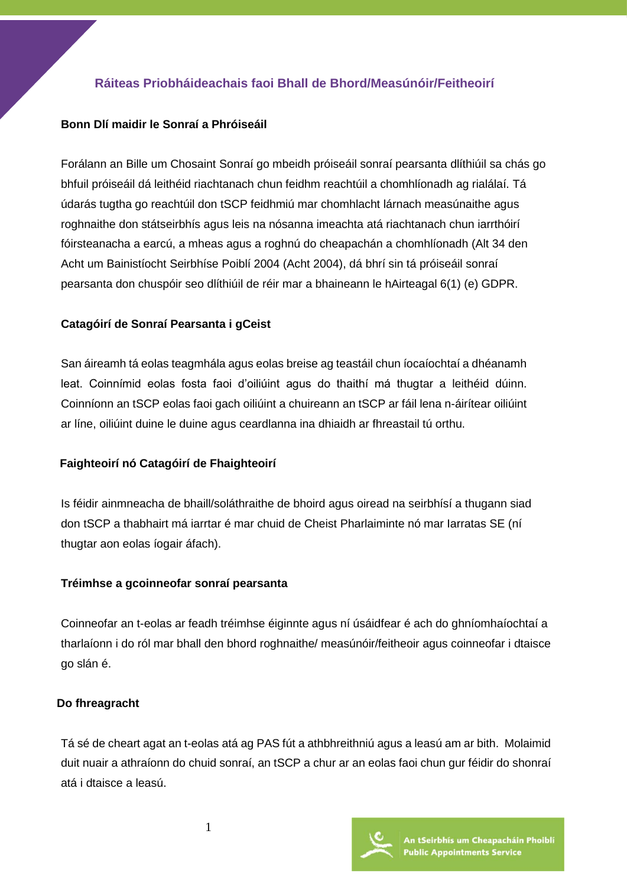# **Ráiteas Priobháideachais faoi Bhall de Bhord/Measúnóir/Feitheoirí**

## **Bonn Dlí maidir le Sonraí a Phróiseáil**

Forálann an Bille um Chosaint Sonraí go mbeidh próiseáil sonraí pearsanta dlíthiúil sa chás go bhfuil próiseáil dá leithéid riachtanach chun feidhm reachtúil a chomhlíonadh ag rialálaí. Tá údarás tugtha go reachtúil don tSCP feidhmiú mar chomhlacht lárnach measúnaithe agus roghnaithe don státseirbhís agus leis na nósanna imeachta atá riachtanach chun iarrthóirí fóirsteanacha a earcú, a mheas agus a roghnú do cheapachán a chomhlíonadh (Alt 34 den Acht um Bainistíocht Seirbhíse Poiblí 2004 (Acht 2004), dá bhrí sin tá próiseáil sonraí pearsanta don chuspóir seo dlíthiúil de réir mar a bhaineann le hAirteagal 6(1) (e) GDPR.

## **Catagóirí de Sonraí Pearsanta i gCeist**

San áireamh tá eolas teagmhála agus eolas breise ag teastáil chun íocaíochtaí a dhéanamh leat. Coinnímid eolas fosta faoi d'oiliúint agus do thaithí má thugtar a leithéid dúinn. Coinníonn an tSCP eolas faoi gach oiliúint a chuireann an tSCP ar fáil lena n-áirítear oiliúint ar líne, oiliúint duine le duine agus ceardlanna ina dhiaidh ar fhreastail tú orthu.

## **Faighteoirí nó Catagóirí de Fhaighteoirí**

Is féidir ainmneacha de bhaill/soláthraithe de bhoird agus oiread na seirbhísí a thugann siad don tSCP a thabhairt má iarrtar é mar chuid de Cheist Pharlaiminte nó mar Iarratas SE (ní thugtar aon eolas íogair áfach).

#### **Tréimhse a gcoinneofar sonraí pearsanta**

Coinneofar an t-eolas ar feadh tréimhse éiginnte agus ní úsáidfear é ach do ghníomhaíochtaí a tharlaíonn i do ról mar bhall den bhord roghnaithe/ measúnóir/feitheoir agus coinneofar i dtaisce go slán é.

#### **Do fhreagracht**

Tá sé de cheart agat an t-eolas atá ag PAS fút a athbhreithniú agus a leasú am ar bith. Molaimid duit nuair a athraíonn do chuid sonraí, an tSCP a chur ar an eolas faoi chun gur féidir do shonraí atá i dtaisce a leasú.